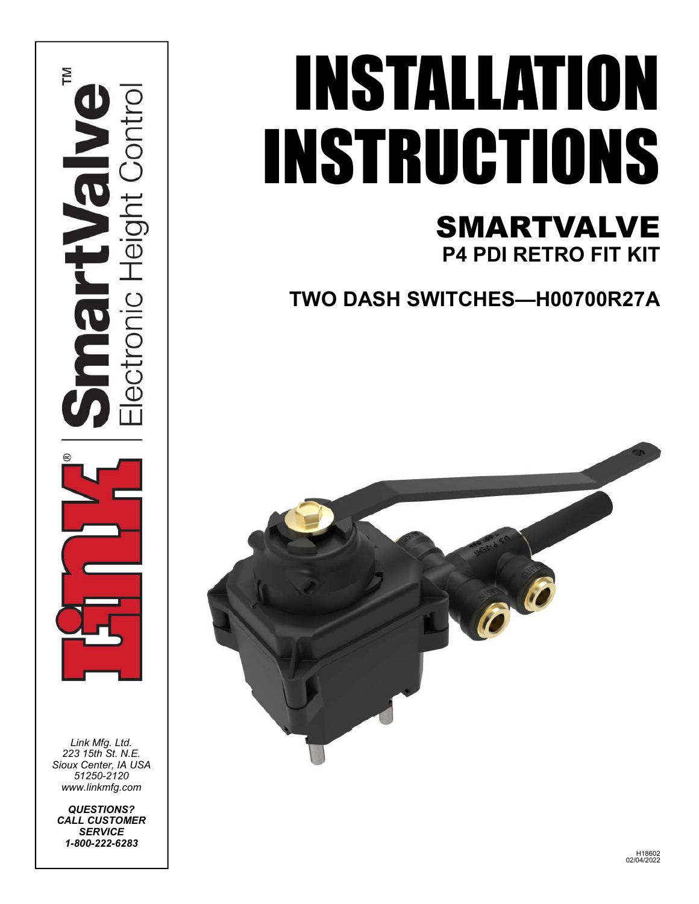

*Link Mfg. Ltd. 223 15th St. N.E. Sioux Center, IA USA 51250-2120 www.linkmfg.com*

*QUESTIONS? CALL CUSTOMER SERVICE 1-800-222-6283*

# INSTALLATION INSTRUCTIONS

# SMARTVALVE **P4 PDI RETRO FIT KIT**

**TWO DASH SWITCHES—H00700R27A**

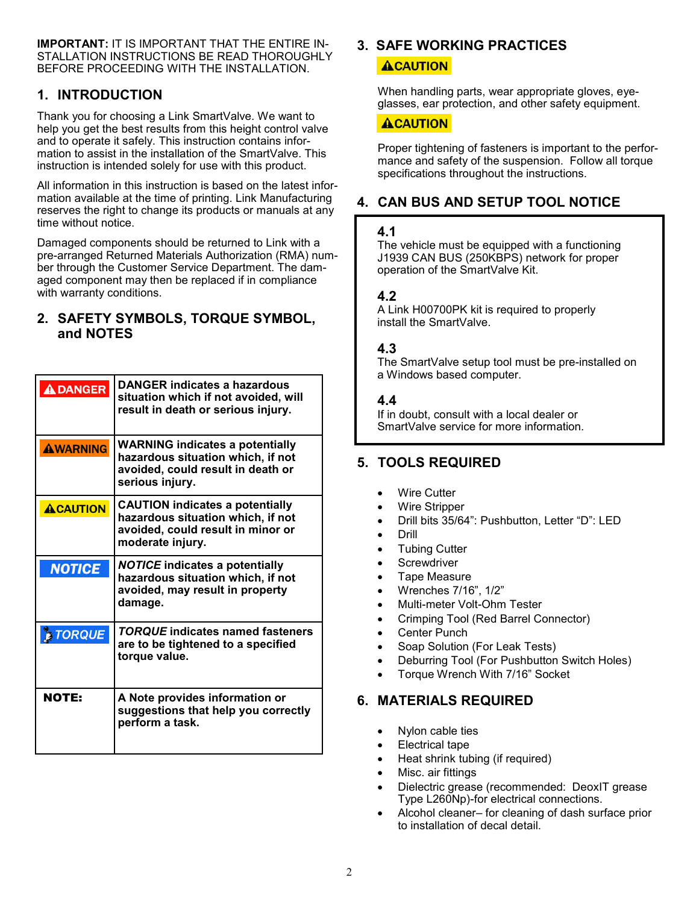**IMPORTANT:** IT IS IMPORTANT THAT THE ENTIRE IN-STALLATION INSTRUCTIONS BE READ THOROUGHLY BEFORE PROCEEDING WITH THE INSTALLATION.

#### **1. INTRODUCTION**

Thank you for choosing a Link SmartValve. We want to help you get the best results from this height control valve and to operate it safely. This instruction contains information to assist in the installation of the SmartValve. This instruction is intended solely for use with this product.

All information in this instruction is based on the latest information available at the time of printing. Link Manufacturing reserves the right to change its products or manuals at any time without notice.

Damaged components should be returned to Link with a pre-arranged Returned Materials Authorization (RMA) number through the Customer Service Department. The damaged component may then be replaced if in compliance with warranty conditions.

#### **2. SAFETY SYMBOLS, TORQUE SYMBOL, and NOTES**

| <b>ADANGER</b>  | <b>DANGER indicates a hazardous</b><br>situation which if not avoided, will<br>result in death or serious injury.                    |
|-----------------|--------------------------------------------------------------------------------------------------------------------------------------|
| <b>AWARNING</b> | <b>WARNING indicates a potentially</b><br>hazardous situation which, if not<br>avoided, could result in death or<br>serious injury.  |
| <b>ACAUTION</b> | <b>CAUTION indicates a potentially</b><br>hazardous situation which, if not<br>avoided, could result in minor or<br>moderate injury. |
| <b>NOTICE</b>   | <b>NOTICE indicates a potentially</b><br>hazardous situation which, if not<br>avoided, may result in property<br>damage.             |
| <b>E TORQUE</b> | <b>TORQUE indicates named fasteners</b><br>are to be tightened to a specified<br>torque value.                                       |
| <b>NOTE:</b>    | A Note provides information or<br>suggestions that help you correctly<br>perform a task.                                             |

#### **3. SAFE WORKING PRACTICES ACAUTION**

When handling parts, wear appropriate gloves, eyeglasses, ear protection, and other safety equipment.

#### **ACAUTION**

Proper tightening of fasteners is important to the performance and safety of the suspension. Follow all torque specifications throughout the instructions.

#### **4. CAN BUS AND SETUP TOOL NOTICE**

#### **4.1**

The vehicle must be equipped with a functioning J1939 CAN BUS (250KBPS) network for proper operation of the SmartValve Kit.

#### **4.2**

A Link H00700PK kit is required to properly install the SmartValve.

#### **4.3**

The SmartValve setup tool must be pre-installed on a Windows based computer.

#### **4.4**

If in doubt, consult with a local dealer or SmartValve service for more information.

#### **5. TOOLS REQUIRED**

- Wire Cutter
- Wire Stripper
- Drill bits 35/64": Pushbutton, Letter "D": LED
- Drill
- Tubing Cutter
- **Screwdriver**
- Tape Measure
- Wrenches 7/16", 1/2"
- Multi-meter Volt-Ohm Tester
- Crimping Tool (Red Barrel Connector)
- Center Punch
- Soap Solution (For Leak Tests)
- Deburring Tool (For Pushbutton Switch Holes)
- Torque Wrench With 7/16" Socket

#### **6. MATERIALS REQUIRED**

- Nylon cable ties
- Electrical tape
- Heat shrink tubing (if required)
- Misc. air fittings
- Dielectric grease (recommended: DeoxIT grease Type L260Np)-for electrical connections.
- Alcohol cleaner– for cleaning of dash surface prior to installation of decal detail.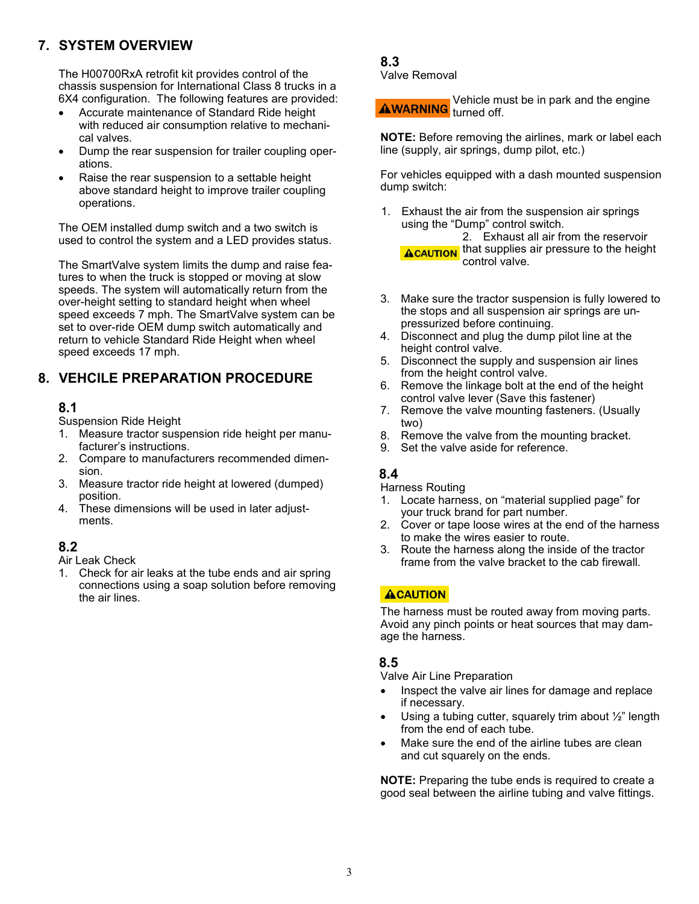## **7. SYSTEM OVERVIEW**

The H00700RxA retrofit kit provides control of the chassis suspension for International Class 8 trucks in a 6X4 configuration. The following features are provided:

- Accurate maintenance of Standard Ride height with reduced air consumption relative to mechanical valves.
- Dump the rear suspension for trailer coupling operations.
- Raise the rear suspension to a settable height above standard height to improve trailer coupling operations.

The OEM installed dump switch and a two switch is used to control the system and a LED provides status.

The SmartValve system limits the dump and raise features to when the truck is stopped or moving at slow speeds. The system will automatically return from the over-height setting to standard height when wheel speed exceeds 7 mph. The SmartValve system can be set to over-ride OEM dump switch automatically and return to vehicle Standard Ride Height when wheel speed exceeds 17 mph.

#### **8. VEHCILE PREPARATION PROCEDURE**

#### **8.1**

Suspension Ride Height

- 1. Measure tractor suspension ride height per manufacturer's instructions.
- 2. Compare to manufacturers recommended dimension.
- 3. Measure tractor ride height at lowered (dumped) position.
- 4. These dimensions will be used in later adjustments.

### **8.2**

Air Leak Check

1. Check for air leaks at the tube ends and air spring connections using a soap solution before removing the air lines.

#### **8.3** Valve Removal

Vehicle must be in park and the engine **AWARNING** turned off.

**NOTE:** Before removing the airlines, mark or label each line (supply, air springs, dump pilot, etc.)

For vehicles equipped with a dash mounted suspension dump switch:

- 1. Exhaust the air from the suspension air springs using the "Dump" control switch. 2. Exhaust all air from the reservoir **ACAUTION** that supplies air pressure to the height
- 3. Make sure the tractor suspension is fully lowered to the stops and all suspension air springs are unpressurized before continuing.
- 4. Disconnect and plug the dump pilot line at the height control valve.

control valve.

- 5. Disconnect the supply and suspension air lines from the height control valve.
- 6. Remove the linkage bolt at the end of the height control valve lever (Save this fastener)
- 7. Remove the valve mounting fasteners. (Usually two)
- 8. Remove the valve from the mounting bracket.
- 9. Set the valve aside for reference.

#### **8.4**

Harness Routing

- 1. Locate harness, on "material supplied page" for your truck brand for part number.
- 2. Cover or tape loose wires at the end of the harness to make the wires easier to route.
- 3. Route the harness along the inside of the tractor frame from the valve bracket to the cab firewall.

#### **ACAUTION**

The harness must be routed away from moving parts. Avoid any pinch points or heat sources that may damage the harness.

#### **8.5**

Valve Air Line Preparation

- Inspect the valve air lines for damage and replace if necessary.
- Using a tubing cutter, squarely trim about ½" length from the end of each tube.
- Make sure the end of the airline tubes are clean and cut squarely on the ends.

**NOTE:** Preparing the tube ends is required to create a good seal between the airline tubing and valve fittings.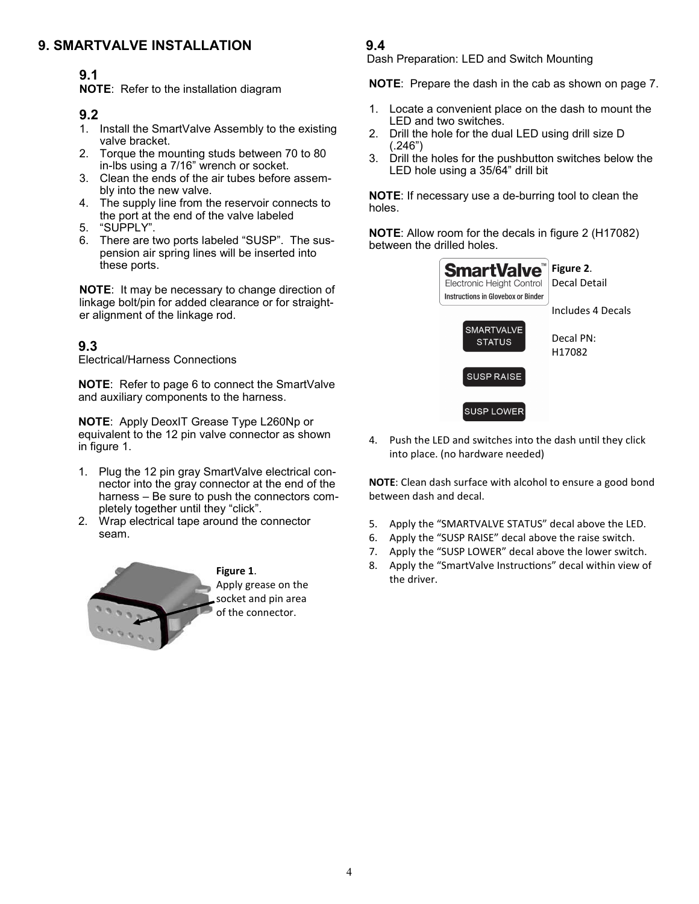#### **9. SMARTVALVE INSTALLATION**

# **9.1**

**NOTE**: Refer to the installation diagram

#### **9.2**

- 1. Install the SmartValve Assembly to the existing valve bracket.
- 2. Torque the mounting studs between 70 to 80 in-lbs using a 7/16" wrench or socket.
- 3. Clean the ends of the air tubes before assembly into the new valve.
- 4. The supply line from the reservoir connects to the port at the end of the valve labeled
- 5. "SUPPLY".
- 6. There are two ports labeled "SUSP". The suspension air spring lines will be inserted into these ports.

**NOTE**: It may be necessary to change direction of linkage bolt/pin for added clearance or for straighter alignment of the linkage rod.

### **9.3**

Electrical/Harness Connections

**NOTE**: Refer to page 6 to connect the SmartValve and auxiliary components to the harness.

**NOTE**: Apply DeoxIT Grease Type L260Np or equivalent to the 12 pin valve connector as shown in figure 1.

- 1. Plug the 12 pin gray SmartValve electrical connector into the gray connector at the end of the harness – Be sure to push the connectors completely together until they "click".
- 2. Wrap electrical tape around the connector seam.



#### **9.4**

Dash Preparation: LED and Switch Mounting

**NOTE**: Prepare the dash in the cab as shown on page 7.

- 1. Locate a convenient place on the dash to mount the LED and two switches.
- 2. Drill the hole for the dual LED using drill size D  $(.246")$
- 3. Drill the holes for the pushbutton switches below the LED hole using a 35/64" drill bit

**NOTE**: If necessary use a de-burring tool to clean the holes.

**NOTE**: Allow room for the decals in figure 2 (H17082) between the drilled holes.



4. Push the LED and switches into the dash until they click into place. (no hardware needed)

**NOTE**: Clean dash surface with alcohol to ensure a good bond between dash and decal.

- 5. Apply the "SMARTVALVE STATUS" decal above the LED.
- 6. Apply the "SUSP RAISE" decal above the raise switch.
- 7. Apply the "SUSP LOWER" decal above the lower switch.
- 8. Apply the "SmartValve Instructions" decal within view of the driver.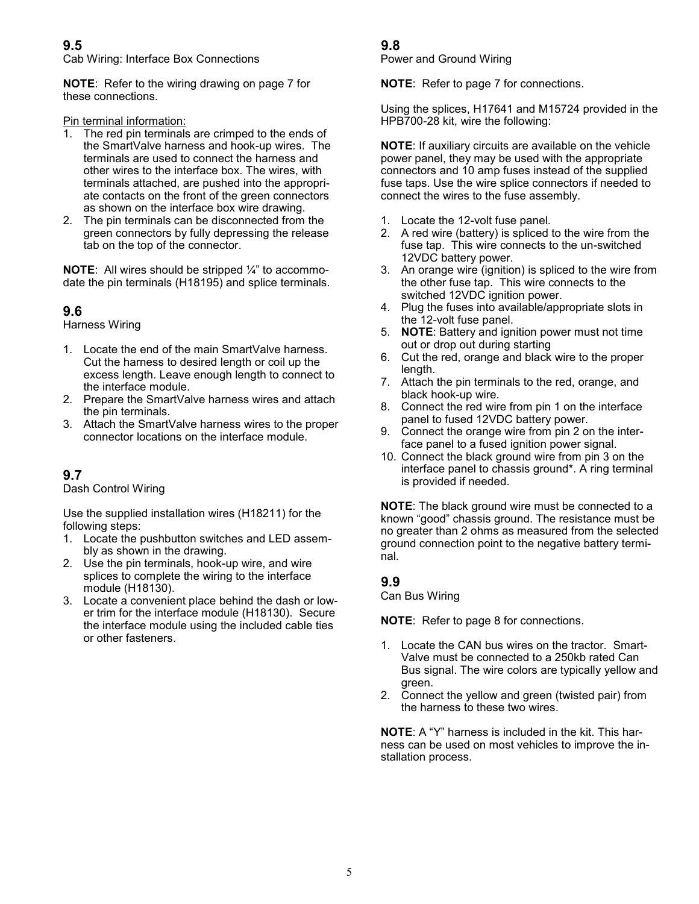#### **9.5**

Cab Wiring: Interface Box Connections

**NOTE**: Refer to the wiring drawing on page 7 for these connections.

Pin terminal information:<br>1. The red pin terminals

- The red pin terminals are crimped to the ends of the SmartValve harness and hook-up wires. The terminals are used to connect the harness and other wires to the interface box. The wires, with terminals attached, are pushed into the appropriate contacts on the front of the green connectors as shown on the interface box wire drawing.
- 2. The pin terminals can be disconnected from the green connectors by fully depressing the release tab on the top of the connector.

**NOTE**: All wires should be stripped ¼" to accommodate the pin terminals (H18195) and splice terminals.

#### **9.6**

Harness Wiring

- 1. Locate the end of the main SmartValve harness. Cut the harness to desired length or coil up the excess length. Leave enough length to connect to the interface module.
- 2. Prepare the SmartValve harness wires and attach the pin terminals.
- 3. Attach the SmartValve harness wires to the proper connector locations on the interface module.

#### **9.7**

Dash Control Wiring

Use the supplied installation wires (H18211) for the following steps:

- 1. Locate the pushbutton switches and LED assembly as shown in the drawing.
- 2. Use the pin terminals, hook-up wire, and wire splices to complete the wiring to the interface module (H18130).
- 3. Locate a convenient place behind the dash or lower trim for the interface module (H18130). Secure the interface module using the included cable ties or other fasteners.

#### **9.8**

Power and Ground Wiring

**NOTE**: Refer to page 7 for connections.

Using the splices, H17641 and M15724 provided in the HPB700-28 kit, wire the following:

**NOTE**: If auxiliary circuits are available on the vehicle power panel, they may be used with the appropriate connectors and 10 amp fuses instead of the supplied fuse taps. Use the wire splice connectors if needed to connect the wires to the fuse assembly.

- 1. Locate the 12-volt fuse panel.
- 2. A red wire (battery) is spliced to the wire from the fuse tap. This wire connects to the un-switched 12VDC battery power.
- 3. An orange wire (ignition) is spliced to the wire from the other fuse tap. This wire connects to the switched 12VDC ignition power.
- 4. Plug the fuses into available/appropriate slots in the 12-volt fuse panel.
- 5. **NOTE**: Battery and ignition power must not time out or drop out during starting
- 6. Cut the red, orange and black wire to the proper length.
- 7. Attach the pin terminals to the red, orange, and black hook-up wire.
- 8. Connect the red wire from pin 1 on the interface panel to fused 12VDC battery power.
- 9. Connect the orange wire from pin 2 on the interface panel to a fused ignition power signal.
- 10. Connect the black ground wire from pin 3 on the interface panel to chassis ground\*. A ring terminal is provided if needed.

**NOTE**: The black ground wire must be connected to a known "good" chassis ground. The resistance must be no greater than 2 ohms as measured from the selected ground connection point to the negative battery terminal.

**9.9** Can Bus Wiring

**NOTE**: Refer to page 8 for connections.

- 1. Locate the CAN bus wires on the tractor. Smart-Valve must be connected to a 250kb rated Can Bus signal. The wire colors are typically yellow and green.
- 2. Connect the yellow and green (twisted pair) from the harness to these two wires.

**NOTE**: A "Y" harness is included in the kit. This harness can be used on most vehicles to improve the installation process.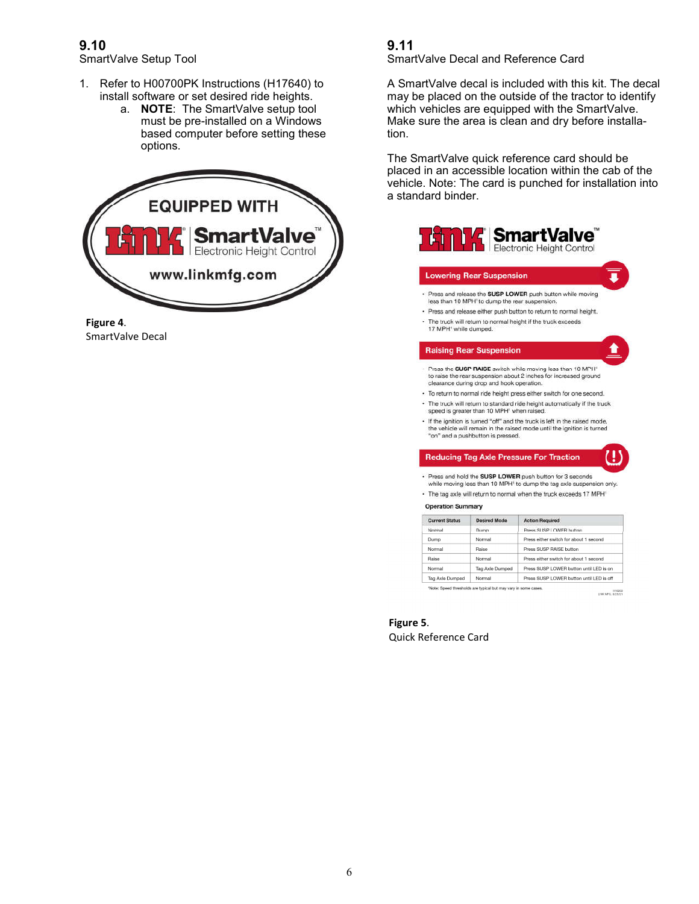### **9.10**

SmartValve Setup Tool

- 1. Refer to H00700PK Instructions (H17640) to install software or set desired ride heights.
	- a. **NOTE**: The SmartValve setup tool must be pre-installed on a Windows based computer before setting these options.





#### **9.11**  SmartValve Decal and Reference Card

A SmartValve decal is included with this kit. The decal may be placed on the outside of the tractor to identify which vehicles are equipped with the SmartValve. Make sure the area is clean and dry before installation.

The SmartValve quick reference card should be placed in an accessible location within the cab of the vehicle. Note: The card is punched for installation into a standard binder.



#### **Lowering Rear Suspension**

- · Press and release the SUSP LOWER push button while moving less than 10 MPH' to dump the rear suspension.
- · Press and release either push button to return to normal height. · The truck will return to normal height if the truck exceeds
- 17 MPH<sup>1</sup> while dumped.

#### **Raising Rear Suspension**

"on" and a pushbutton is pressed.

- Press the SUSP RAISE switch while moving less than 10 MPH to raise the rear suspension about 2 inches for increased ground<br>clearance during drop and hook operation.
- · To return to normal ride height press either switch for one second. - The truck will return to standard ride height automatically if the truck speed is greater than 10 MPH<sup>1</sup> when raised.
- If the ignition is turned "off" and the truck is left in the raised mode, the vehicle will remain in the raised mode until the ignition is turned

#### **Reducing Tag Axle Pressure For Traction**

- Press and hold the SUSP LOWER push button for 3 seconds while moving less than 10 MPH' to dump the tag axle suspension only.
- · The tag axle will return to normal when the truck exceeds 17 MPH

#### **Operation Summary**

| <b>Current Status</b> | <b>Desired Mode</b> | <b>Action Required</b>                     |
|-----------------------|---------------------|--------------------------------------------|
| Normal                | Dump                | Press SUSP LOWER button                    |
| Dump                  | Normal              | Press either switch for about 1 second     |
| Normal                | Raise               | Press SUSP RAISE button                    |
| Raise                 | Normal              | Press either switch for about 1 second     |
| Normal                | Tag Axle Dumped     | Press SUSP LOWER button until LED is on    |
| Tag Axle Dumped       | Normal              | Press SUSP I OWER button until I FD is off |

H18203<br>LINK MFG, 8/25/21

**Figure 5**. Quick Reference Card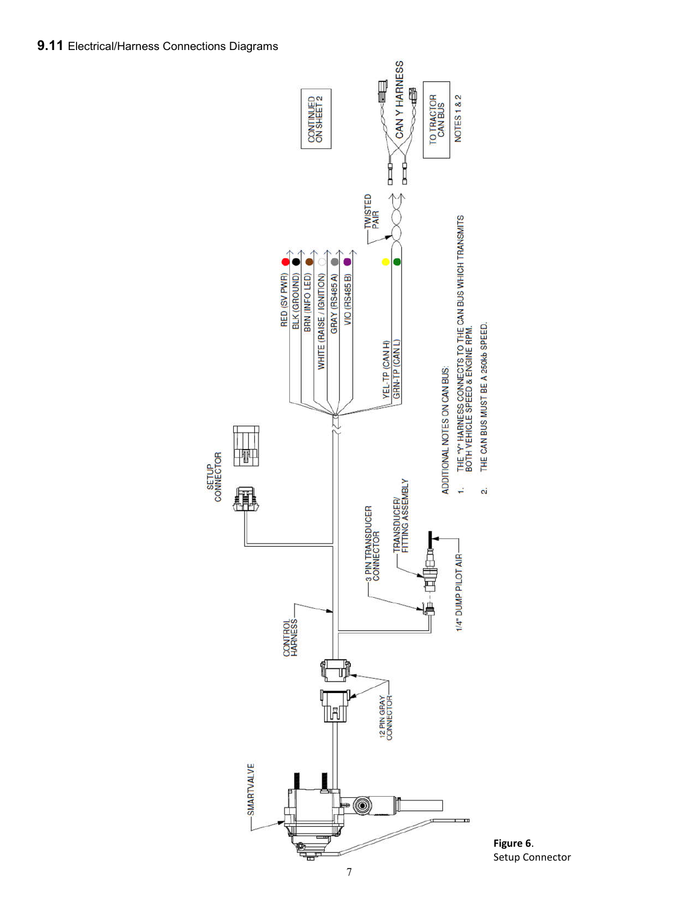

7

**Figure 6**. Setup Connector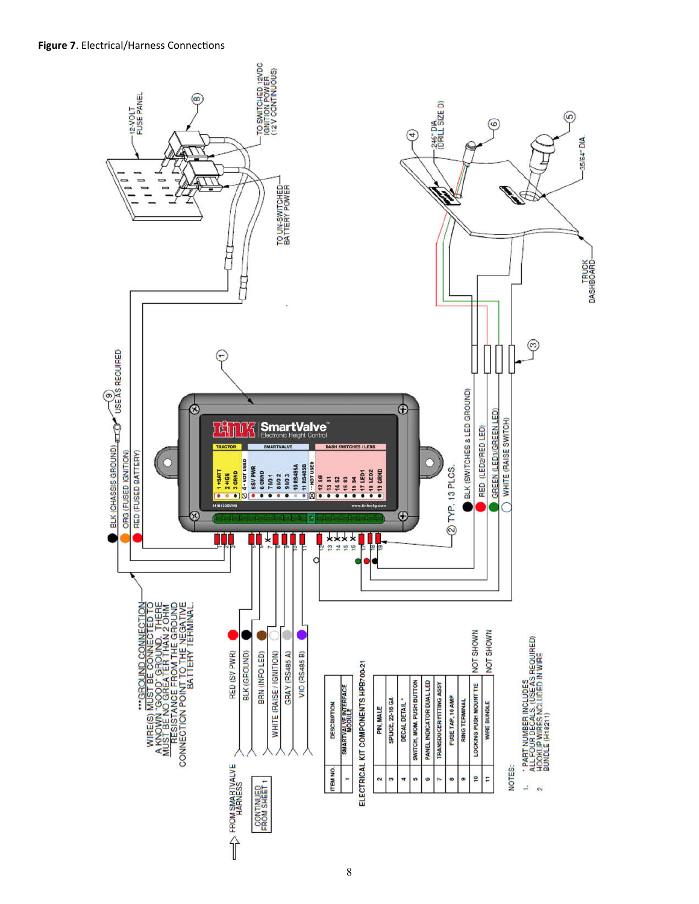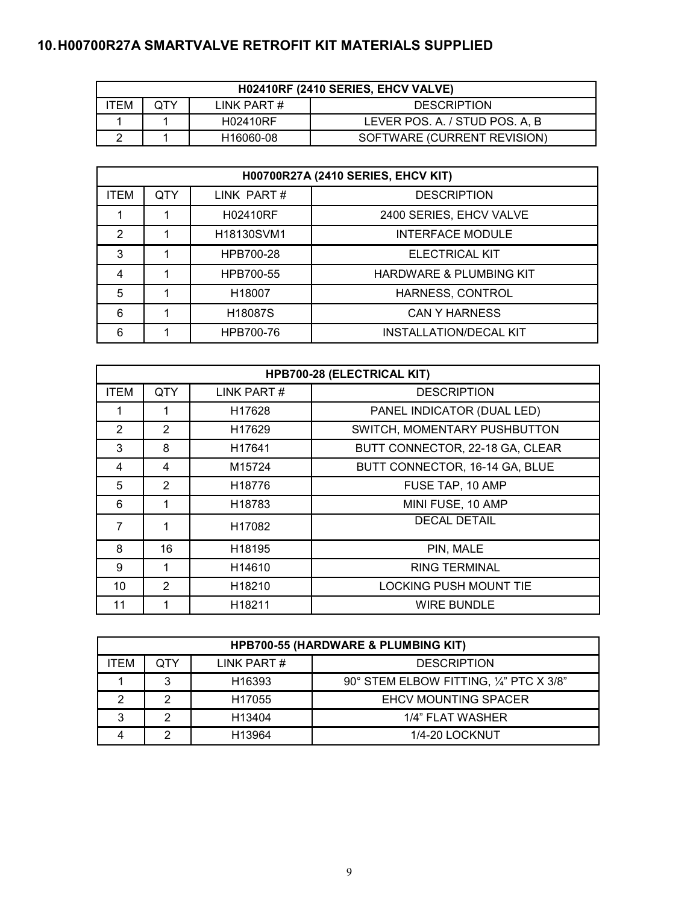# **10.H00700R27A SMARTVALVE RETROFIT KIT MATERIALS SUPPLIED**

| H02410RF (2410 SERIES, EHCV VALVE) |     |             |                                |
|------------------------------------|-----|-------------|--------------------------------|
| TEM                                | QTY | LINK PART # | <b>DESCRIPTION</b>             |
|                                    |     | H02410RF    | LEVER POS. A. / STUD POS. A, B |
|                                    |     | H16060-08   | SOFTWARE (CURRENT REVISION)    |

| <b>H00700R27A (2410 SERIES, EHCV KIT)</b> |     |                                     |                                    |
|-------------------------------------------|-----|-------------------------------------|------------------------------------|
| <b>ITEM</b>                               | QTY | LINK PART#                          | <b>DESCRIPTION</b>                 |
|                                           |     | H02410RF                            | 2400 SERIES, EHCV VALVE            |
| 2                                         |     | H <sub>18130</sub> SVM <sub>1</sub> | <b>INTERFACE MODULE</b>            |
| 3                                         |     | HPB700-28                           | <b>ELECTRICAL KIT</b>              |
| 4                                         |     | HPB700-55                           | <b>HARDWARE &amp; PLUMBING KIT</b> |
| 5                                         |     | H18007                              | HARNESS, CONTROL                   |
| 6                                         |     | H <sub>18087</sub> S                | <b>CAN Y HARNESS</b>               |
| 6                                         |     | HPB700-76                           | <b>INSTALLATION/DECAL KIT</b>      |

| HPB700-28 (ELECTRICAL KIT) |                |                    |                                 |
|----------------------------|----------------|--------------------|---------------------------------|
| <b>ITEM</b>                | <b>QTY</b>     | LINK PART#         | <b>DESCRIPTION</b>              |
|                            |                | H <sub>17628</sub> | PANEL INDICATOR (DUAL LED)      |
| 2                          | 2              | H <sub>17629</sub> | SWITCH, MOMENTARY PUSHBUTTON    |
| 3                          | 8              | H <sub>17641</sub> | BUTT CONNECTOR, 22-18 GA, CLEAR |
| 4                          | 4              | M15724             | BUTT CONNECTOR, 16-14 GA, BLUE  |
| 5                          | $\overline{2}$ | H <sub>18776</sub> | FUSE TAP, 10 AMP                |
| 6                          |                | H18783             | MINI FUSE, 10 AMP               |
| 7                          | 1              | H17082             | <b>DECAL DETAIL</b>             |
| 8                          | 16             | H <sub>18195</sub> | PIN, MALE                       |
| 9                          | 1              | H <sub>14610</sub> | <b>RING TERMINAL</b>            |
| 10                         | 2              | H <sub>18210</sub> | <b>LOCKING PUSH MOUNT TIE</b>   |
| 11                         |                | H18211             | <b>WIRE BUNDLE</b>              |

| <b>HPB700-55 (HARDWARE &amp; PLUMBING KIT)</b>  |   |                    |                                         |
|-------------------------------------------------|---|--------------------|-----------------------------------------|
| LINK PART#<br>QTY<br><b>DESCRIPTION</b><br>ITEM |   |                    |                                         |
|                                                 | 3 | H <sub>16393</sub> | 90° STEM ELBOW FITTING, 1/4" PTC X 3/8" |
| າ                                               | っ | H <sub>17055</sub> | <b>EHCV MOUNTING SPACER</b>             |
| 2                                               | っ | H <sub>13404</sub> | 1/4" FLAT WASHER                        |
|                                                 | ◠ | H <sub>13964</sub> | 1/4-20 LOCKNUT                          |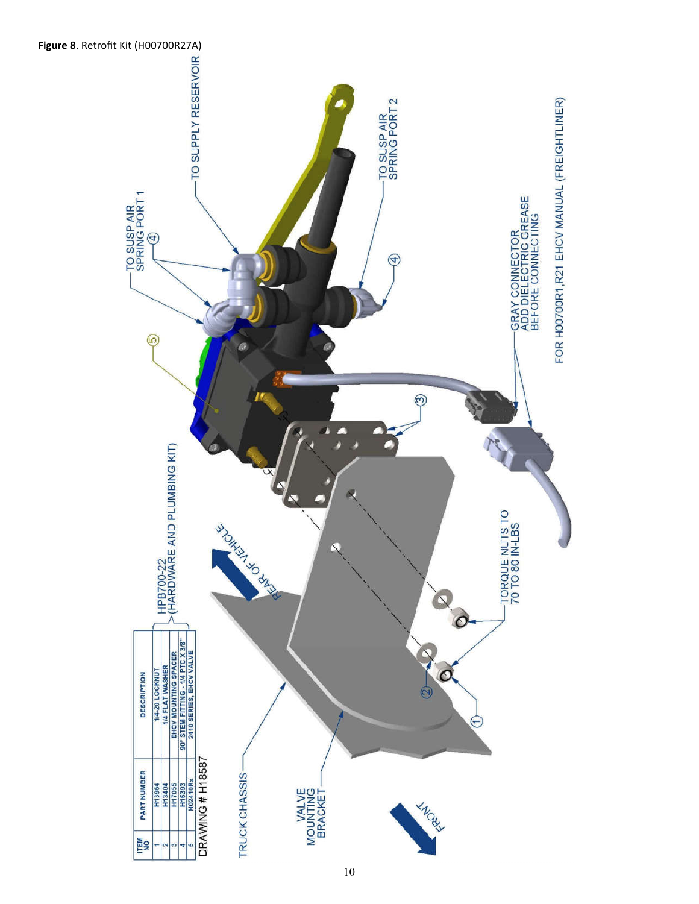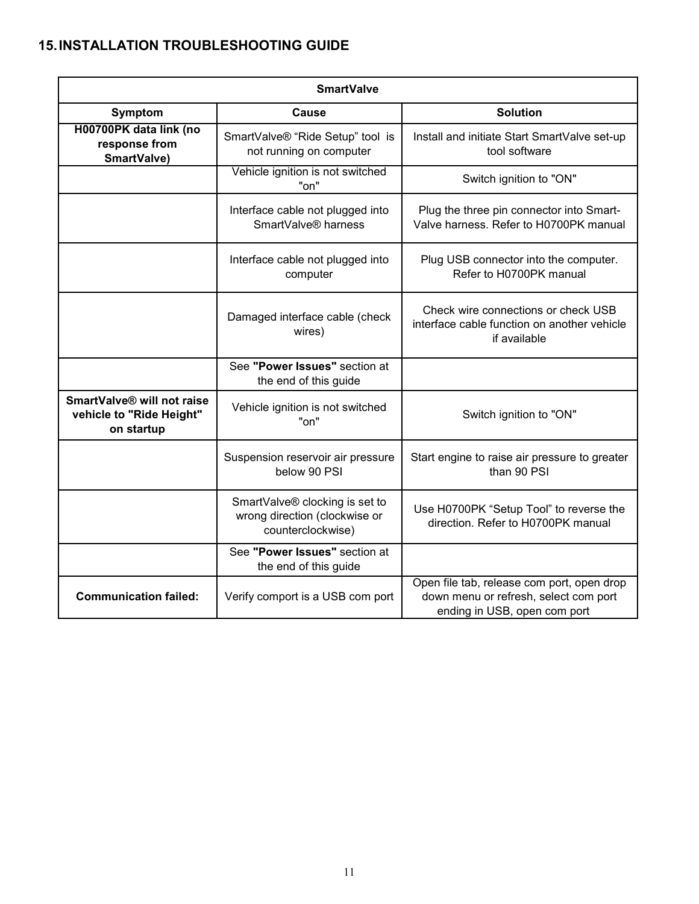# **15.INSTALLATION TROUBLESHOOTING GUIDE**

| <b>SmartValve</b>                                                    |                                                                                      |                                                                                                                     |  |  |
|----------------------------------------------------------------------|--------------------------------------------------------------------------------------|---------------------------------------------------------------------------------------------------------------------|--|--|
| Symptom                                                              | <b>Cause</b>                                                                         | <b>Solution</b>                                                                                                     |  |  |
| H00700PK data link (no<br>response from<br>SmartValve)               | SmartValve® "Ride Setup" tool is<br>not running on computer                          | Install and initiate Start SmartValve set-up<br>tool software                                                       |  |  |
|                                                                      | Vehicle ignition is not switched<br>"on"                                             | Switch ignition to "ON"                                                                                             |  |  |
|                                                                      | Interface cable not plugged into<br>SmartValve <sup>®</sup> harness                  | Plug the three pin connector into Smart-<br>Valve harness. Refer to H0700PK manual                                  |  |  |
|                                                                      | Interface cable not plugged into<br>computer                                         | Plug USB connector into the computer.<br>Refer to H0700PK manual                                                    |  |  |
|                                                                      | Damaged interface cable (check<br>wires)                                             | Check wire connections or check USB<br>interface cable function on another vehicle<br>if available                  |  |  |
|                                                                      | See "Power Issues" section at<br>the end of this guide                               |                                                                                                                     |  |  |
| SmartValve® will not raise<br>vehicle to "Ride Height"<br>on startup | Vehicle ignition is not switched<br>"on"                                             | Switch ignition to "ON"                                                                                             |  |  |
|                                                                      | Suspension reservoir air pressure<br>below 90 PSI                                    | Start engine to raise air pressure to greater<br>than 90 PSI                                                        |  |  |
|                                                                      | SmartValve® clocking is set to<br>wrong direction (clockwise or<br>counterclockwise) | Use H0700PK "Setup Tool" to reverse the<br>direction. Refer to H0700PK manual                                       |  |  |
|                                                                      | See "Power Issues" section at<br>the end of this guide                               |                                                                                                                     |  |  |
| <b>Communication failed:</b>                                         | Verify comport is a USB com port                                                     | Open file tab, release com port, open drop<br>down menu or refresh, select com port<br>ending in USB, open com port |  |  |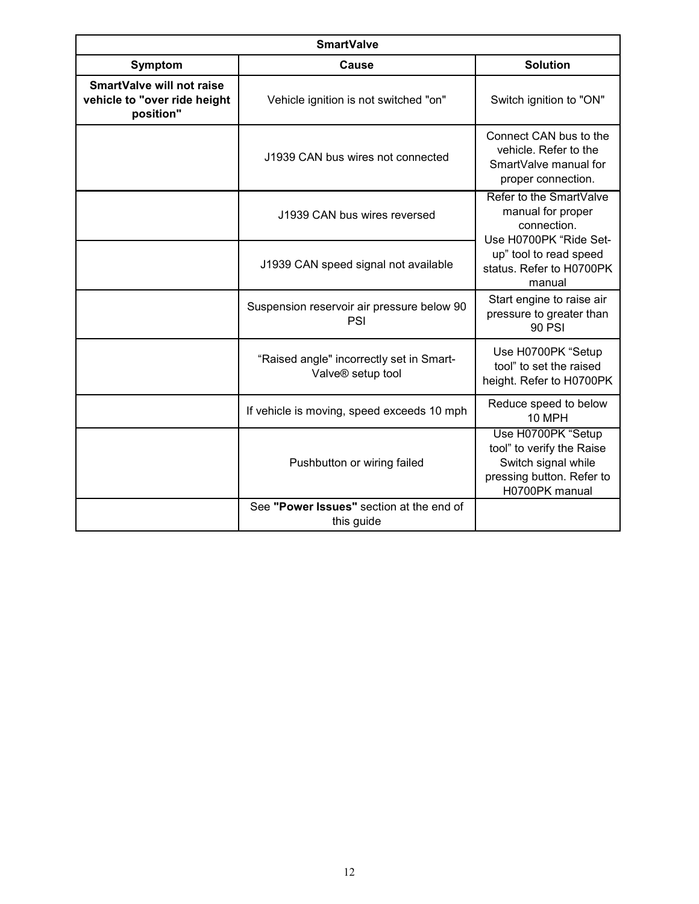| <b>SmartValve</b>                                                             |                                                               |                                                                                                                       |  |
|-------------------------------------------------------------------------------|---------------------------------------------------------------|-----------------------------------------------------------------------------------------------------------------------|--|
| <b>Symptom</b>                                                                | <b>Cause</b>                                                  | <b>Solution</b>                                                                                                       |  |
| <b>SmartValve will not raise</b><br>vehicle to "over ride height<br>position" | Vehicle ignition is not switched "on"                         | Switch ignition to "ON"                                                                                               |  |
|                                                                               | J1939 CAN bus wires not connected                             | Connect CAN bus to the<br>vehicle. Refer to the<br>SmartValve manual for<br>proper connection.                        |  |
|                                                                               | J1939 CAN bus wires reversed                                  | Refer to the SmartValve<br>manual for proper<br>connection.<br>Use H0700PK "Ride Set-                                 |  |
|                                                                               | J1939 CAN speed signal not available                          | up" tool to read speed<br>status. Refer to H0700PK<br>manual                                                          |  |
|                                                                               | Suspension reservoir air pressure below 90<br>PSI             | Start engine to raise air<br>pressure to greater than<br><b>90 PSI</b>                                                |  |
|                                                                               | "Raised angle" incorrectly set in Smart-<br>Valve® setup tool | Use H0700PK "Setup<br>tool" to set the raised<br>height. Refer to H0700PK                                             |  |
|                                                                               | If vehicle is moving, speed exceeds 10 mph                    | Reduce speed to below<br>10 MPH                                                                                       |  |
|                                                                               | Pushbutton or wiring failed                                   | Use H0700PK "Setup<br>tool" to verify the Raise<br>Switch signal while<br>pressing button. Refer to<br>H0700PK manual |  |
|                                                                               | See "Power Issues" section at the end of<br>this guide        |                                                                                                                       |  |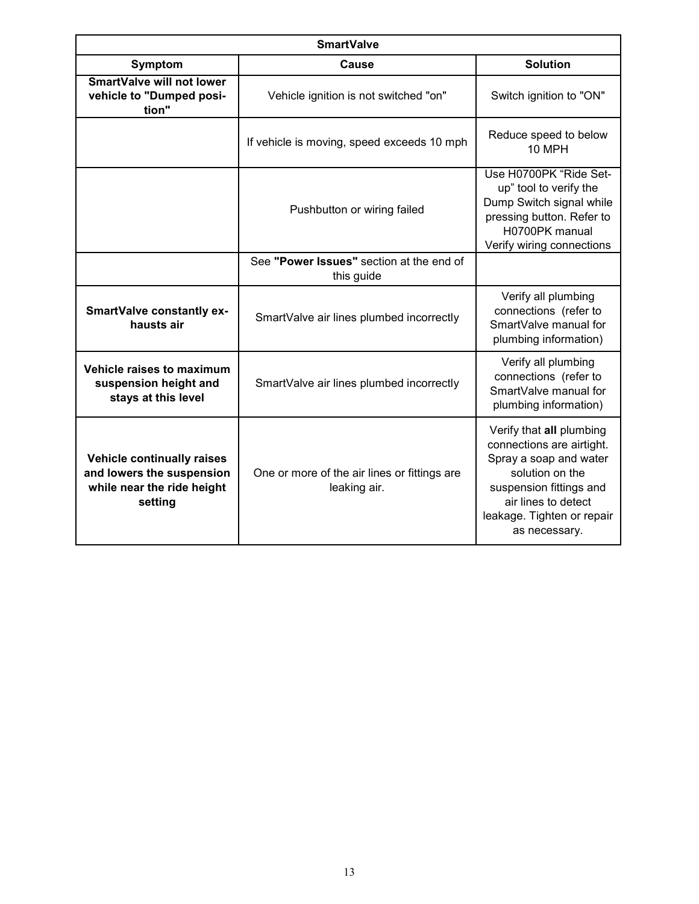| <b>SmartValve</b>                                                                                |                                                              |                                                                                                                                                                                                     |  |
|--------------------------------------------------------------------------------------------------|--------------------------------------------------------------|-----------------------------------------------------------------------------------------------------------------------------------------------------------------------------------------------------|--|
| Symptom                                                                                          | Cause                                                        | <b>Solution</b>                                                                                                                                                                                     |  |
| <b>SmartValve will not lower</b><br>vehicle to "Dumped posi-<br>tion"                            | Vehicle ignition is not switched "on"                        | Switch ignition to "ON"                                                                                                                                                                             |  |
|                                                                                                  | If vehicle is moving, speed exceeds 10 mph                   | Reduce speed to below<br><b>10 MPH</b>                                                                                                                                                              |  |
|                                                                                                  | Pushbutton or wiring failed                                  | Use H0700PK "Ride Set-<br>up" tool to verify the<br>Dump Switch signal while<br>pressing button. Refer to<br>H0700PK manual<br>Verify wiring connections                                            |  |
|                                                                                                  | See "Power Issues" section at the end of<br>this guide       |                                                                                                                                                                                                     |  |
| <b>SmartValve constantly ex-</b><br>hausts air                                                   | SmartValve air lines plumbed incorrectly                     | Verify all plumbing<br>connections (refer to<br>SmartValve manual for<br>plumbing information)                                                                                                      |  |
| Vehicle raises to maximum<br>suspension height and<br>stays at this level                        | SmartValve air lines plumbed incorrectly                     | Verify all plumbing<br>connections (refer to<br>SmartValve manual for<br>plumbing information)                                                                                                      |  |
| Vehicle continually raises<br>and lowers the suspension<br>while near the ride height<br>setting | One or more of the air lines or fittings are<br>leaking air. | Verify that all plumbing<br>connections are airtight.<br>Spray a soap and water<br>solution on the<br>suspension fittings and<br>air lines to detect<br>leakage. Tighten or repair<br>as necessary. |  |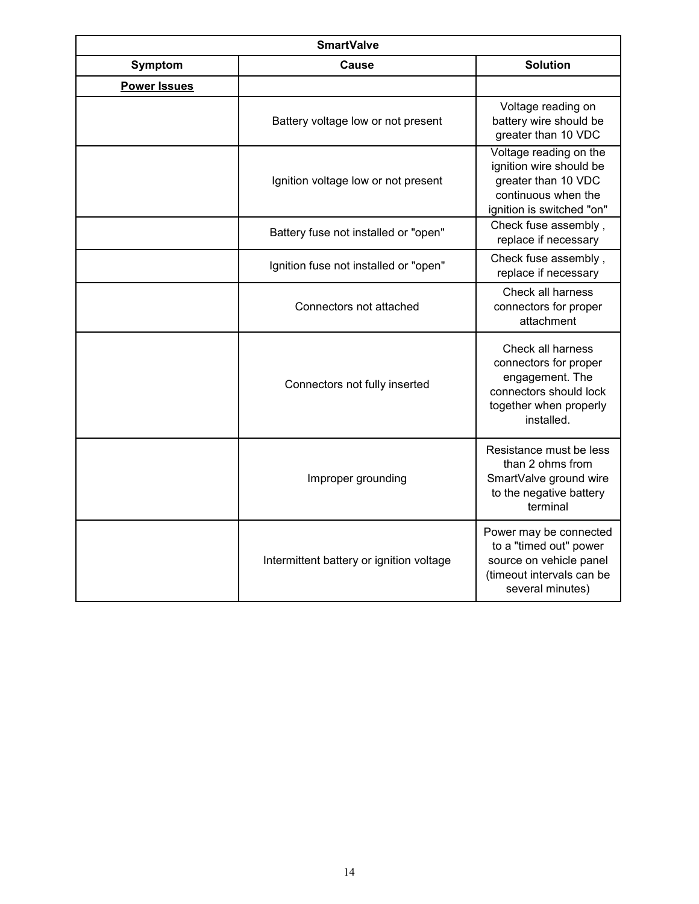| <b>SmartValve</b>   |                                          |                                                                                                                                 |  |
|---------------------|------------------------------------------|---------------------------------------------------------------------------------------------------------------------------------|--|
| Symptom             | <b>Cause</b>                             | <b>Solution</b>                                                                                                                 |  |
| <b>Power Issues</b> |                                          |                                                                                                                                 |  |
|                     | Battery voltage low or not present       | Voltage reading on<br>battery wire should be<br>greater than 10 VDC                                                             |  |
|                     | Ignition voltage low or not present      | Voltage reading on the<br>ignition wire should be<br>greater than 10 VDC<br>continuous when the<br>ignition is switched "on"    |  |
|                     | Battery fuse not installed or "open"     | Check fuse assembly,<br>replace if necessary                                                                                    |  |
|                     | Ignition fuse not installed or "open"    | Check fuse assembly,<br>replace if necessary                                                                                    |  |
|                     | Connectors not attached                  | Check all harness<br>connectors for proper<br>attachment                                                                        |  |
|                     | Connectors not fully inserted            | Check all harness<br>connectors for proper<br>engagement. The<br>connectors should lock<br>together when properly<br>installed. |  |
|                     | Improper grounding                       | Resistance must be less<br>than 2 ohms from<br>SmartValve ground wire<br>to the negative battery<br>terminal                    |  |
|                     | Intermittent battery or ignition voltage | Power may be connected<br>to a "timed out" power<br>source on vehicle panel<br>(timeout intervals can be<br>several minutes)    |  |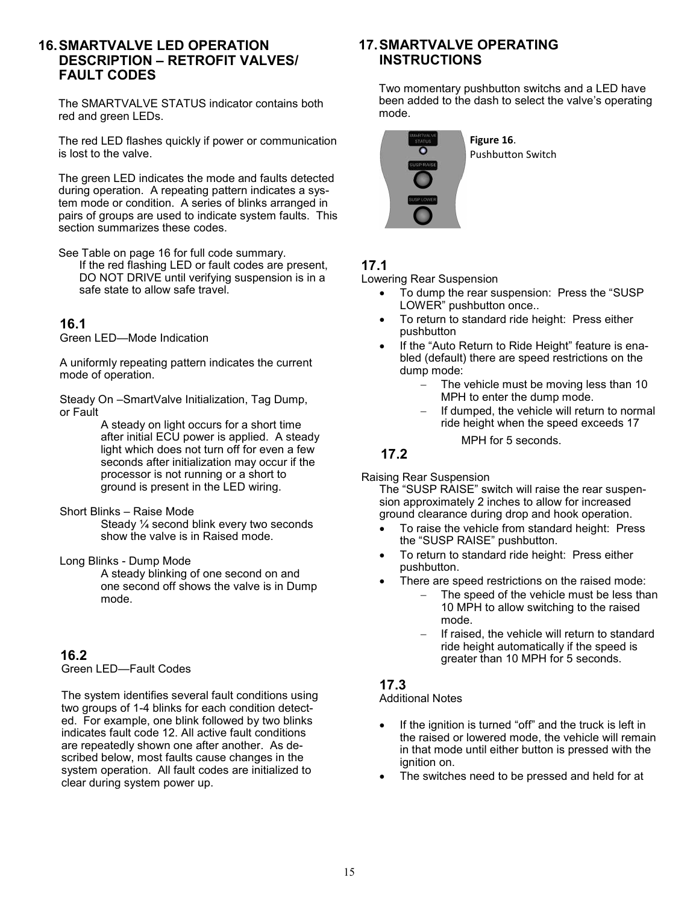#### **16.SMARTVALVE LED OPERATION DESCRIPTION – RETROFIT VALVES/ FAULT CODES**

The SMARTVALVE STATUS indicator contains both red and green LEDs.

The red LED flashes quickly if power or communication is lost to the valve.

The green LED indicates the mode and faults detected during operation. A repeating pattern indicates a system mode or condition. A series of blinks arranged in pairs of groups are used to indicate system faults. This section summarizes these codes.

See Table on page 16 for full code summary. If the red flashing LED or fault codes are present, DO NOT DRIVE until verifying suspension is in a safe state to allow safe travel.

#### **16.1**

Green LED—Mode Indication

A uniformly repeating pattern indicates the current mode of operation.

Steady On –SmartValve Initialization, Tag Dump, or Fault

A steady on light occurs for a short time after initial ECU power is applied. A steady light which does not turn off for even a few seconds after initialization may occur if the processor is not running or a short to ground is present in the LED wiring.

Short Blinks – Raise Mode

Steady ¼ second blink every two seconds show the valve is in Raised mode.

Long Blinks - Dump Mode

A steady blinking of one second on and one second off shows the valve is in Dump mode.

#### **16.2**

Green LED—Fault Codes

The system identifies several fault conditions using two groups of 1-4 blinks for each condition detected. For example, one blink followed by two blinks indicates fault code 12. All active fault conditions are repeatedly shown one after another. As described below, most faults cause changes in the system operation. All fault codes are initialized to clear during system power up.

#### **17.SMARTVALVE OPERATING INSTRUCTIONS**

Two momentary pushbutton switchs and a LED have been added to the dash to select the valve's operating mode.



Pushbutton Switch

### **17.1**

Lowering Rear Suspension

- To dump the rear suspension: Press the "SUSP LOWER" pushbutton once..
- To return to standard ride height: Press either pushbutton
- If the "Auto Return to Ride Height" feature is enabled (default) there are speed restrictions on the dump mode:
	- The vehicle must be moving less than 10 MPH to enter the dump mode.
	- If dumped, the vehicle will return to normal ride height when the speed exceeds 17

MPH for 5 seconds.

#### **17.2**

Raising Rear Suspension

The "SUSP RAISE" switch will raise the rear suspension approximately 2 inches to allow for increased ground clearance during drop and hook operation.

- To raise the vehicle from standard height: Press the "SUSP RAISE" pushbutton.
- To return to standard ride height: Press either pushbutton.
	- There are speed restrictions on the raised mode:
		- The speed of the vehicle must be less than 10 MPH to allow switching to the raised mode.
		- If raised, the vehicle will return to standard ride height automatically if the speed is greater than 10 MPH for 5 seconds.

#### **17.3**

Additional Notes

- If the ignition is turned "off" and the truck is left in the raised or lowered mode, the vehicle will remain in that mode until either button is pressed with the ignition on.
- The switches need to be pressed and held for at